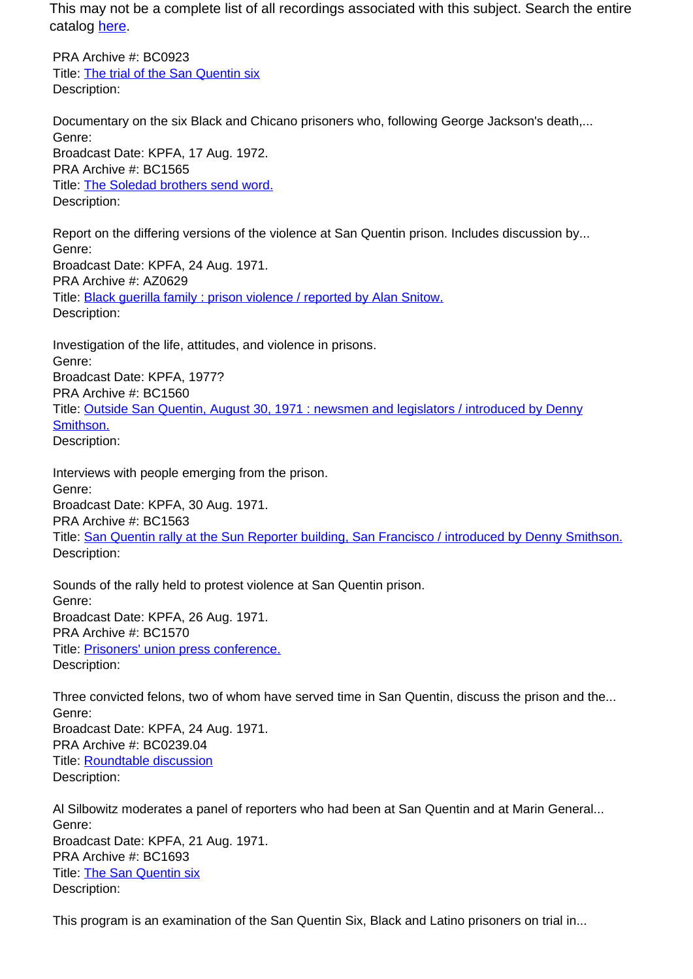This may not be a complete list of all recordings associated with this subject. Search the entire catalog [here.](http://pacificaradioarchives.org/keyword-search)

PRA Archive #: BC0923 Title: The trial of the San Quentin six Description:

Documentary on the six Black and Chicano prisoners who, following George Jackson's death,... Genre: Broadcast Date: KPFA, 17 Aug. 1972. PRA Archive #: BC1565 Title: The Soledad brothers send word. Description:

Report on the differing versions of the violence at San Quentin prison. Includes discussion by... Genre: Broadcast Date: KPFA, 24 Aug. 1971. PRA Archive #: AZ0629 Title: **Black querilla family : prison violence / reported by Alan Snitow.** Description:

Investigation of the life, attitudes, and violence in prisons. Genre: Broadcast Date: KPFA, 1977? PRA Archive #: BC1560 Title: Outside San Quentin, August 30, 1971 : newsmen and legislators / introduced by Denny Smithson. Description:

Interviews with people emerging from the prison. Genre: Broadcast Date: KPFA, 30 Aug. 1971. PRA Archive #: BC1563 Title: San Quentin rally at the Sun Reporter building, San Francisco / introduced by Denny Smithson. Description:

Sounds of the rally held to protest violence at San Quentin prison. Genre: Broadcast Date: KPFA, 26 Aug. 1971. PRA Archive #: BC1570 Title: Prisoners' union press conference. Description:

Three convicted felons, two of whom have served time in San Quentin, discuss the prison and the... Genre: Broadcast Date: KPFA, 24 Aug. 1971. PRA Archive #: BC0239.04 Title: Roundtable discussion Description:

Al Silbowitz moderates a panel of reporters who had been at San Quentin and at Marin General... Genre: Broadcast Date: KPFA, 21 Aug. 1971. PRA Archive #: BC1693 Title: The San Quentin six Description:

This program is an examination of the San Quentin Six, Black and Latino prisoners on trial in...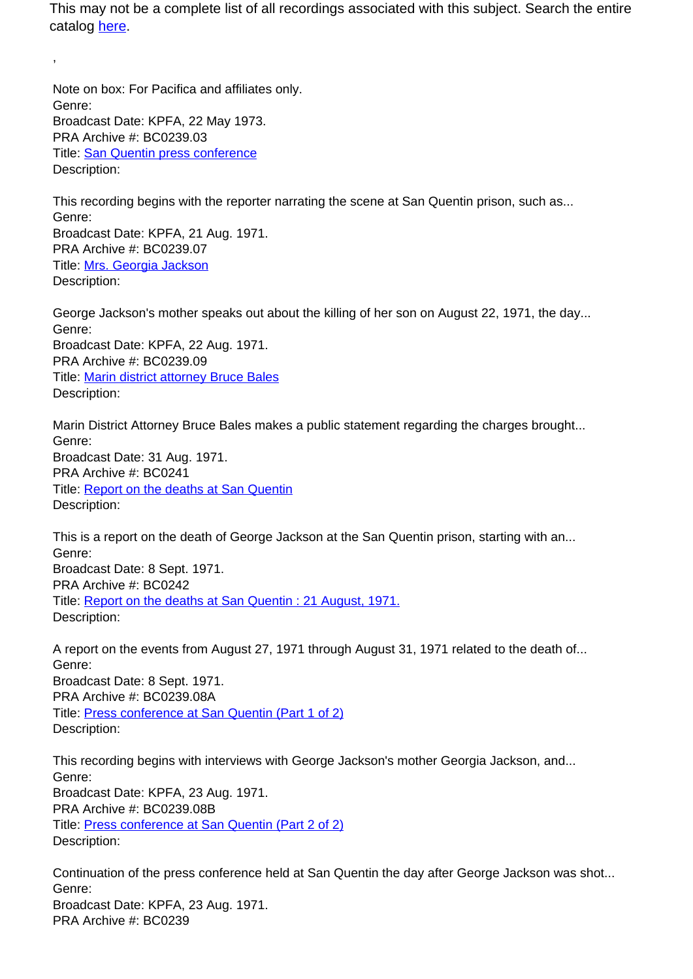This may not be a complete list of all recordings associated with this subject. Search the entire catalog here.

Note on box: For Pacifica and affiliates only. Genre: Broadcast Date: KPFA, 22 May 1973. PRA Archive #: BC0239.03 Title: San Quentin press conference Description:

,

This recording begins with the reporter narrating the scene at San Quentin prison, such as... Genre: Broadcast Date: KPFA, 21 Aug. 1971. PRA Archive #: BC0239.07 Title: Mrs. Georgia Jackson Description:

George Jackson's mother speaks out about the killing of her son on August 22, 1971, the day... Genre: Broadcast Date: KPFA, 22 Aug. 1971. PRA Archive #: BC0239.09 Title: Marin district attorney Bruce Bales Description:

Marin District Attorney Bruce Bales makes a public statement regarding the charges brought... Genre: Broadcast Date: 31 Aug. 1971. PRA Archive #: BC0241 Title: Report on the deaths at San Quentin Description:

This is a report on the death of George Jackson at the San Quentin prison, starting with an... Genre: Broadcast Date: 8 Sept. 1971. PRA Archive #: BC0242 Title: Report on the deaths at San Quentin : 21 August, 1971. Description:

A report on the events from August 27, 1971 through August 31, 1971 related to the death of... Genre: Broadcast Date: 8 Sept. 1971. PRA Archive #: BC0239.08A Title: Press conference at San Quentin (Part 1 of 2) Description:

This recording begins with interviews with George Jackson's mother Georgia Jackson, and... Genre: Broadcast Date: KPFA, 23 Aug. 1971. PRA Archive #: BC0239.08B Title: Press conference at San Quentin (Part 2 of 2) Description:

Continuation of the press conference held at San Quentin the day after George Jackson was shot... Genre: Broadcast Date: KPFA, 23 Aug. 1971. PRA Archive #: BC0239